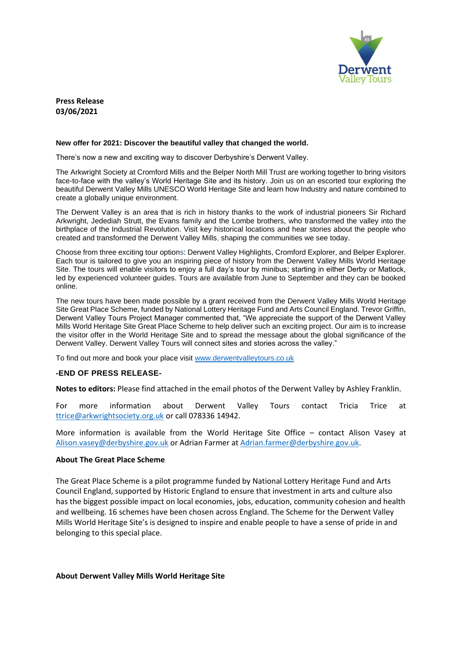

**Press Release 03/06/2021**

## **New offer for 2021: Discover the beautiful valley that changed the world.**

There's now a new and exciting way to discover Derbyshire's Derwent Valley.

The Arkwright Society at Cromford Mills and the Belper North Mill Trust are working together to bring visitors face-to-face with the valley's World Heritage Site and its history. Join us on an escorted tour exploring the beautiful Derwent Valley Mills UNESCO World Heritage Site and learn how Industry and nature combined to create a globally unique environment.

The Derwent Valley is an area that is rich in history thanks to the work of industrial pioneers Sir Richard Arkwright, Jedediah Strutt, the Evans family and the Lombe brothers, who transformed the valley into the birthplace of the Industrial Revolution. Visit key historical locations and hear stories about the people who created and transformed the Derwent Valley Mills, shaping the communities we see today.

Choose from three exciting tour options: Derwent Valley Highlights, Cromford Explorer, and Belper Explorer. Each tour is tailored to give you an inspiring piece of history from the Derwent Valley Mills World Heritage Site. The tours will enable visitors to enjoy a full day's tour by minibus; starting in either Derby or Matlock, led by experienced volunteer guides. Tours are available from June to September and they can be booked online.

The new tours have been made possible by a grant received from the Derwent Valley Mills World Heritage Site Great Place Scheme, funded by National Lottery Heritage Fund and Arts Council England. Trevor Griffin, Derwent Valley Tours Project Manager commented that, "We appreciate the support of the Derwent Valley Mills World Heritage Site Great Place Scheme to help deliver such an exciting project. Our aim is to increase the visitor offer in the World Heritage Site and to spread the message about the global significance of the Derwent Valley. Derwent Valley Tours will connect sites and stories across the valley."

To find out more and book your place visit [www.derwentvalleytours.co.uk](http://www.derwentvalleytours.co.uk/)

## **-END OF PRESS RELEASE-**

**Notes to editors:** Please find attached in the email photos of the Derwent Valley by Ashley Franklin.

For more information about Derwent Valley Tours contact Tricia Trice at [ttrice@arkwrightsociety.org.uk](mailto:ttrice@arkwrightsociety.org.uk) or call 078336 14942.

More information is available from the World Heritage Site Office – contact Alison Vasey at [Alison.vasey@derbyshire.gov.uk](mailto:Alison.vasey@derbyshire.gov.uk) or Adrian Farmer at [Adrian.farmer@derbyshire.gov.uk.](mailto:Adrian.farmer@derbyshire.gov.uk)

## **About The Great Place Scheme**

The Great Place Scheme is a pilot programme funded by National Lottery Heritage Fund and Arts Council England, supported by Historic England to ensure that investment in arts and culture also has the biggest possible impact on local economies, jobs, education, community cohesion and health and wellbeing. 16 schemes have been chosen across England. The Scheme for the Derwent Valley Mills World Heritage Site's is designed to inspire and enable people to have a sense of pride in and belonging to this special place.

## **About Derwent Valley Mills World Heritage Site**